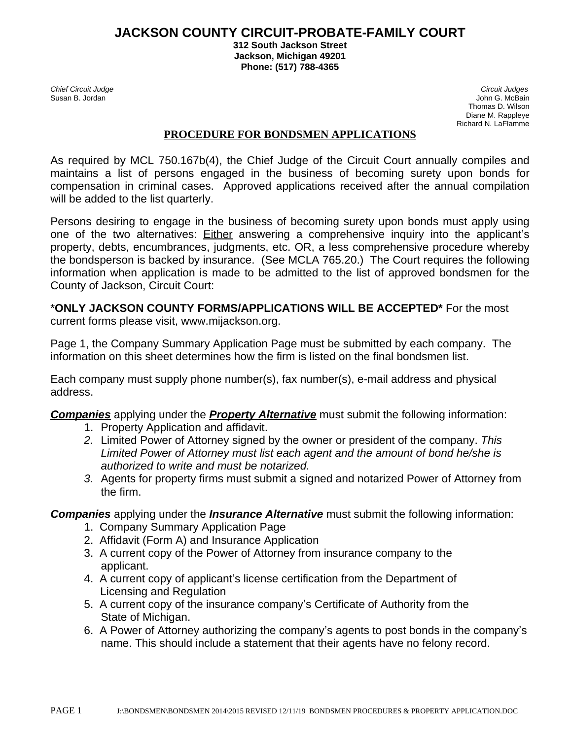### **JACKSON COUNTY CIRCUIT-PROBATE-FAMILY COURT**

**312 South Jackson Street Jackson, Michigan 49201 Phone: (517) 788-4365**

*Chief Circuit Judge Circuit Judges* Susan B. JordanJohn G. McBain Thomas D. Wilson Diane M. Rappleye Richard N. LaFlamme

#### **PROCEDURE FOR BONDSMEN APPLICATIONS**

As required by MCL 750.167b(4), the Chief Judge of the Circuit Court annually compiles and maintains a list of persons engaged in the business of becoming surety upon bonds for compensation in criminal cases. Approved applications received after the annual compilation will be added to the list quarterly.

Persons desiring to engage in the business of becoming surety upon bonds must apply using one of the two alternatives: Either answering a comprehensive inquiry into the applicant's property, debts, encumbrances, judgments, etc. OR, a less comprehensive procedure whereby the bondsperson is backed by insurance. (See MCLA 765.20.) The Court requires the following information when application is made to be admitted to the list of approved bondsmen for the County of Jackson, Circuit Court:

# \***ONLY JACKSON COUNTY FORMS/APPLICATIONS WILL BE ACCEPTED\*** For the most

current forms please visit, www.mijackson.org.

Page 1, the Company Summary Application Page must be submitted by each company. The information on this sheet determines how the firm is listed on the final bondsmen list.

Each company must supply phone number(s), fax number(s), e-mail address and physical address.

*Companies* applying under the *Property Alternative* must submit the following information:

- 1. Property Application and affidavit.
- *2.* Limited Power of Attorney signed by the owner or president of the company. *This Limited Power of Attorney must list each agent and the amount of bond he/she is authorized to write and must be notarized.*
- *3.* Agents for property firms must submit a signed and notarized Power of Attorney from the firm.

*Companies* applying under the *Insurance Alternative* must submit the following information:

- 1. Company Summary Application Page
- 2. Affidavit (Form A) and Insurance Application
- 3. A current copy of the Power of Attorney from insurance company to the applicant.
- 4. A current copy of applicant's license certification from the Department of Licensing and Regulation
- 5. A current copy of the insurance company's Certificate of Authority from the State of Michigan.
- 6. A Power of Attorney authorizing the company's agents to post bonds in the company's name. This should include a statement that their agents have no felony record.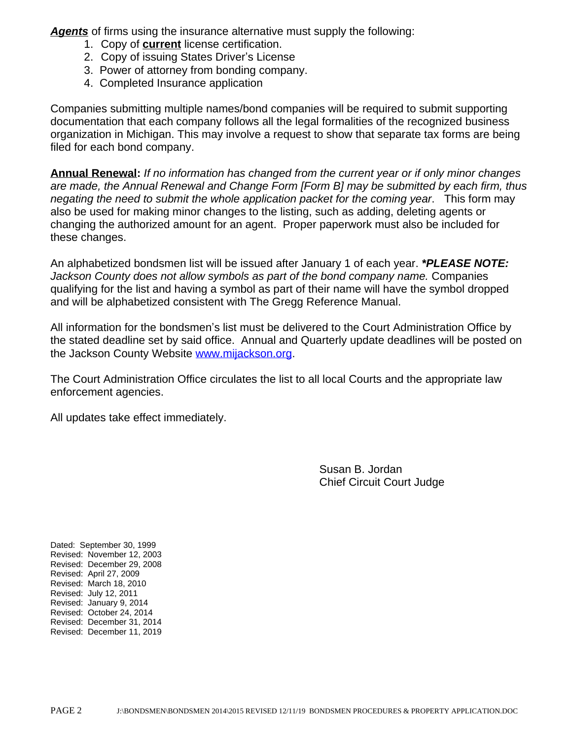*Agents* of firms using the insurance alternative must supply the following:

- 1. Copy of **current** license certification.
- 2. Copy of issuing States Driver's License
- 3. Power of attorney from bonding company.
- 4. Completed Insurance application

Companies submitting multiple names/bond companies will be required to submit supporting documentation that each company follows all the legal formalities of the recognized business organization in Michigan. This may involve a request to show that separate tax forms are being filed for each bond company.

**Annual Renewal:** *If no information has changed from the current year or if only minor changes are made, the Annual Renewal and Change Form [Form B] may be submitted by each firm, thus negating the need to submit the whole application packet for the coming year*. This form may also be used for making minor changes to the listing, such as adding, deleting agents or changing the authorized amount for an agent. Proper paperwork must also be included for these changes.

An alphabetized bondsmen list will be issued after January 1 of each year. *\*PLEASE NOTE: Jackson County does not allow symbols as part of the bond company name.* Companies qualifying for the list and having a symbol as part of their name will have the symbol dropped and will be alphabetized consistent with The Gregg Reference Manual.

All information for the bondsmen's list must be delivered to the Court Administration Office by the stated deadline set by said office. Annual and Quarterly update deadlines will be posted on the Jackson County Website [www.mijackson.org.](http://www.mijackson.org)

The Court Administration Office circulates the list to all local Courts and the appropriate law enforcement agencies.

All updates take effect immediately.

Susan B. Jordan Chief Circuit Court Judge

Dated: September 30, 1999 Revised: November 12, 2003 Revised: December 29, 2008 Revised: April 27, 2009 Revised: March 18, 2010 Revised: July 12, 2011 Revised: January 9, 2014 Revised: October 24, 2014 Revised: December 31, 2014 Revised: December 11, 2019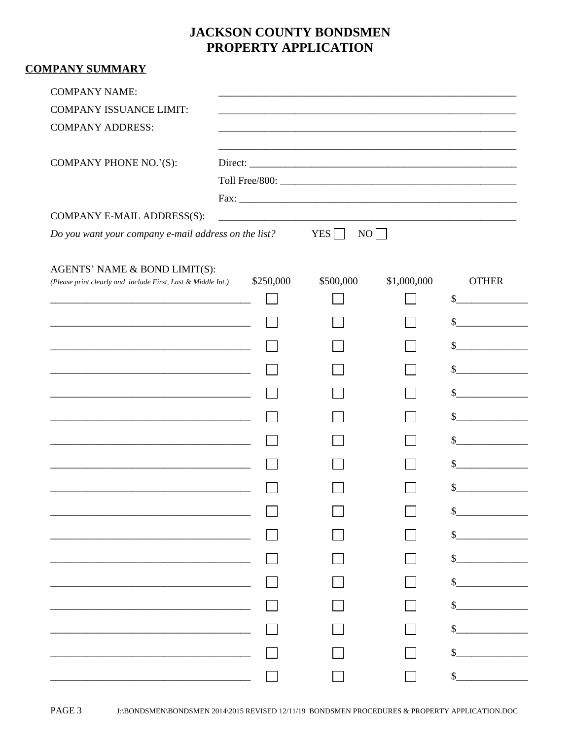## **JACKSON COUNTY BONDSMEN** PROPERTY APPLICATION

| <b>COMPANY SUMMARY</b>                                                                                                    |           |                                                                                                                       |             |              |
|---------------------------------------------------------------------------------------------------------------------------|-----------|-----------------------------------------------------------------------------------------------------------------------|-------------|--------------|
| <b>COMPANY NAME:</b>                                                                                                      |           |                                                                                                                       |             |              |
| <b>COMPANY ISSUANCE LIMIT:</b>                                                                                            |           | <u> 1980 - Johann Stein, marwolaethau a bhann ann an t-Alban ann an t-Alban ann an t-Alban ann an t-Alban ann an </u> |             |              |
| <b>COMPANY ADDRESS:</b>                                                                                                   |           |                                                                                                                       |             |              |
| COMPANY PHONE NO.'(S):                                                                                                    |           |                                                                                                                       |             |              |
|                                                                                                                           |           |                                                                                                                       |             |              |
|                                                                                                                           |           |                                                                                                                       |             |              |
| COMPANY E-MAIL ADDRESS(S):                                                                                                |           |                                                                                                                       |             |              |
| Do you want your company e-mail address on the list?                                                                      |           | YES <sup>[</sup>                                                                                                      | NO          |              |
| AGENTS' NAME & BOND LIMIT(S):                                                                                             |           |                                                                                                                       |             |              |
| (Please print clearly and include First, Last & Middle Int.)                                                              | \$250,000 | \$500,000                                                                                                             | \$1,000,000 | <b>OTHER</b> |
| <u> 2002 - Jan James James Barnett, militar film eta indian erroman eraikin erroman erroman erroman erroman erroman e</u> |           |                                                                                                                       |             | \$           |
|                                                                                                                           |           |                                                                                                                       |             |              |
|                                                                                                                           |           |                                                                                                                       |             |              |
| <u> 1989 - Johann Barbara, martin amerikan basar dan berasal dalam basa dalam basa dalam basa dalam basa dalam b</u>      |           |                                                                                                                       |             |              |
|                                                                                                                           |           |                                                                                                                       |             |              |
|                                                                                                                           |           |                                                                                                                       |             |              |
| <u> 1989 - Johann John Stein, markin fan it fjort fan it fjort fan it fjort fan it fjort fan it fjort fan it fjort f</u>  |           |                                                                                                                       |             |              |
|                                                                                                                           |           |                                                                                                                       |             |              |
|                                                                                                                           |           |                                                                                                                       |             |              |
|                                                                                                                           |           |                                                                                                                       |             |              |
|                                                                                                                           |           |                                                                                                                       |             |              |
|                                                                                                                           |           |                                                                                                                       |             |              |
|                                                                                                                           |           |                                                                                                                       |             |              |
|                                                                                                                           |           |                                                                                                                       |             |              |
|                                                                                                                           |           |                                                                                                                       |             |              |
|                                                                                                                           |           |                                                                                                                       |             |              |
|                                                                                                                           |           |                                                                                                                       |             |              |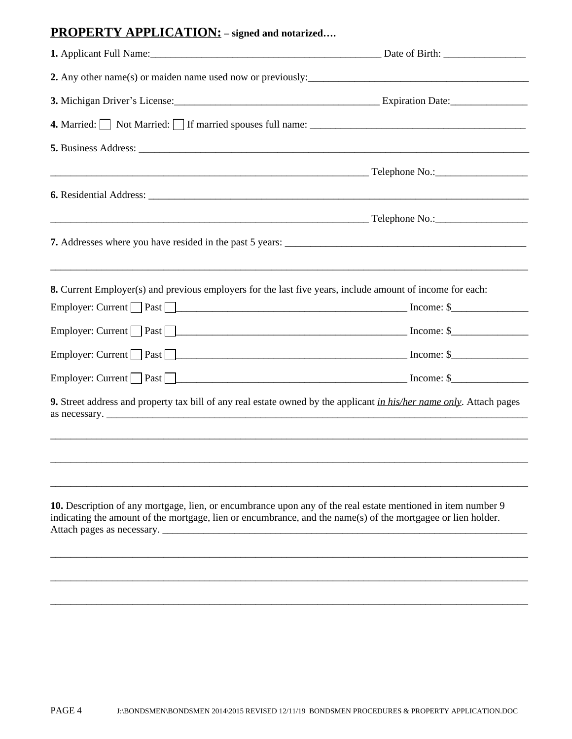## **PROPERTY APPLICATION: – signed and notarized….**

| 3. Michigan Driver's License: 1988. [19] Expiration Date: 1998. [20] Expiration Date:                                                                                                                                        |  |  |  |
|------------------------------------------------------------------------------------------------------------------------------------------------------------------------------------------------------------------------------|--|--|--|
| 4. Married: Not Married: If married spouses full name: _________________________                                                                                                                                             |  |  |  |
|                                                                                                                                                                                                                              |  |  |  |
|                                                                                                                                                                                                                              |  |  |  |
|                                                                                                                                                                                                                              |  |  |  |
|                                                                                                                                                                                                                              |  |  |  |
|                                                                                                                                                                                                                              |  |  |  |
|                                                                                                                                                                                                                              |  |  |  |
| 8. Current Employer(s) and previous employers for the last five years, include amount of income for each:                                                                                                                    |  |  |  |
| Employer: Current $\Box$ Past $\Box$                                                                                                                                                                                         |  |  |  |
|                                                                                                                                                                                                                              |  |  |  |
| Employer: Current Past Past Pure Past Pure Past Pure Past Pure Past Pure Past Pure Past Pure Past Pure Past Pu                                                                                                               |  |  |  |
|                                                                                                                                                                                                                              |  |  |  |
| 9. Street address and property tax bill of any real estate owned by the applicant in his/her name only. Attach pages                                                                                                         |  |  |  |
|                                                                                                                                                                                                                              |  |  |  |
|                                                                                                                                                                                                                              |  |  |  |
| 10. Description of any mortgage, lien, or encumbrance upon any of the real estate mentioned in item number 9<br>indicating the amount of the mortgage, lien or encumbrance, and the name(s) of the mortgagee or lien holder. |  |  |  |
|                                                                                                                                                                                                                              |  |  |  |

\_\_\_\_\_\_\_\_\_\_\_\_\_\_\_\_\_\_\_\_\_\_\_\_\_\_\_\_\_\_\_\_\_\_\_\_\_\_\_\_\_\_\_\_\_\_\_\_\_\_\_\_\_\_\_\_\_\_\_\_\_\_\_\_\_\_\_\_\_\_\_\_\_\_\_\_\_\_\_\_\_\_\_\_\_\_\_\_\_\_\_\_\_

\_\_\_\_\_\_\_\_\_\_\_\_\_\_\_\_\_\_\_\_\_\_\_\_\_\_\_\_\_\_\_\_\_\_\_\_\_\_\_\_\_\_\_\_\_\_\_\_\_\_\_\_\_\_\_\_\_\_\_\_\_\_\_\_\_\_\_\_\_\_\_\_\_\_\_\_\_\_\_\_\_\_\_\_\_\_\_\_\_\_\_\_\_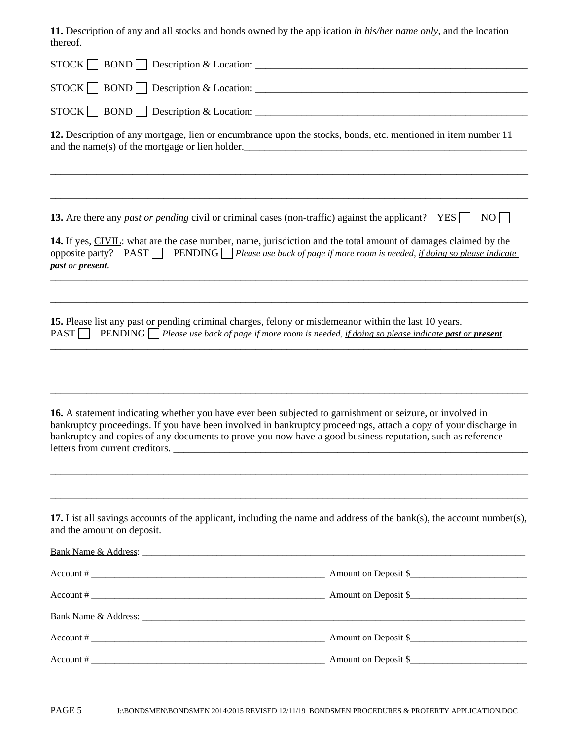**11.** Description of any and all stocks and bonds owned by the application *in his/her name only*, and the location thereof.

| uiutu.                                                                                                                                                                                                                                                                                                                                     |                                                                                                             |
|--------------------------------------------------------------------------------------------------------------------------------------------------------------------------------------------------------------------------------------------------------------------------------------------------------------------------------------------|-------------------------------------------------------------------------------------------------------------|
|                                                                                                                                                                                                                                                                                                                                            |                                                                                                             |
|                                                                                                                                                                                                                                                                                                                                            |                                                                                                             |
|                                                                                                                                                                                                                                                                                                                                            |                                                                                                             |
| 12. Description of any mortgage, lien or encumbrance upon the stocks, bonds, etc. mentioned in item number 11<br>and the name(s) of the mortgage or lien holder.                                                                                                                                                                           |                                                                                                             |
|                                                                                                                                                                                                                                                                                                                                            |                                                                                                             |
| 13. Are there any past or pending civil or criminal cases (non-traffic) against the applicant? YES                                                                                                                                                                                                                                         | NO                                                                                                          |
| 14. If yes, CIVIL: what are the case number, name, jurisdiction and the total amount of damages claimed by the<br>opposite party? PAST PENDING Please use back of page if more room is needed, if doing so please indicate<br>past or present.                                                                                             |                                                                                                             |
|                                                                                                                                                                                                                                                                                                                                            |                                                                                                             |
| 15. Please list any past or pending criminal charges, felony or misdemeanor within the last 10 years.<br>PAST <sup> </sup><br>$\blacksquare$                                                                                                                                                                                               | <b>PENDING</b> Please use back of page if more room is needed, if doing so please indicate past or present. |
|                                                                                                                                                                                                                                                                                                                                            |                                                                                                             |
|                                                                                                                                                                                                                                                                                                                                            |                                                                                                             |
| 16. A statement indicating whether you have ever been subjected to garnishment or seizure, or involved in<br>bankruptcy proceedings. If you have been involved in bankruptcy proceedings, attach a copy of your discharge in<br>bankruptcy and copies of any documents to prove you now have a good business reputation, such as reference |                                                                                                             |
|                                                                                                                                                                                                                                                                                                                                            |                                                                                                             |
|                                                                                                                                                                                                                                                                                                                                            |                                                                                                             |
| 17. List all savings accounts of the applicant, including the name and address of the bank(s), the account number(s),<br>and the amount on deposit.                                                                                                                                                                                        |                                                                                                             |
| Bank Name & Address: Name And Address and Address and Address and Address and Address and Address and Address and Address and Address and Address and Address and Address and Address and Address and Address and Address and                                                                                                              |                                                                                                             |
|                                                                                                                                                                                                                                                                                                                                            |                                                                                                             |
| $Account # \_$                                                                                                                                                                                                                                                                                                                             |                                                                                                             |
|                                                                                                                                                                                                                                                                                                                                            |                                                                                                             |
|                                                                                                                                                                                                                                                                                                                                            |                                                                                                             |
|                                                                                                                                                                                                                                                                                                                                            |                                                                                                             |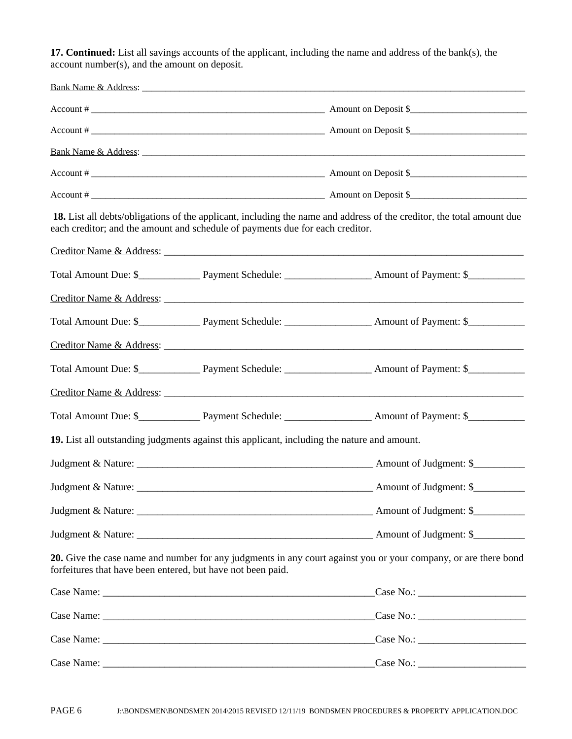**17. Continued:** List all savings accounts of the applicant, including the name and address of the bank(s), the account number(s), and the amount on deposit.

|                                                             |                                                                                             | $Account # \_$                                                                                                                                                                                                                 |
|-------------------------------------------------------------|---------------------------------------------------------------------------------------------|--------------------------------------------------------------------------------------------------------------------------------------------------------------------------------------------------------------------------------|
|                                                             |                                                                                             |                                                                                                                                                                                                                                |
|                                                             |                                                                                             | Bank Name & Address: The Manual Community of the Manual Community of the Manual Community of the Manual Community of the Manual Community of the Manual Community of the Manual Community of the Manual Community of the Manua |
|                                                             |                                                                                             | $Account # \_$                                                                                                                                                                                                                 |
|                                                             |                                                                                             |                                                                                                                                                                                                                                |
|                                                             | each creditor; and the amount and schedule of payments due for each creditor.               | 18. List all debts/obligations of the applicant, including the name and address of the creditor, the total amount due                                                                                                          |
|                                                             |                                                                                             |                                                                                                                                                                                                                                |
|                                                             |                                                                                             |                                                                                                                                                                                                                                |
|                                                             |                                                                                             | Creditor Name & Address:                                                                                                                                                                                                       |
|                                                             |                                                                                             |                                                                                                                                                                                                                                |
|                                                             |                                                                                             | Creditor Name & Address:                                                                                                                                                                                                       |
|                                                             |                                                                                             |                                                                                                                                                                                                                                |
|                                                             |                                                                                             | Creditor Name & Address: 2008 Contract and Contract and Contract and Contract and Contract and Contract and Contract and Contract and Contract and Contract and Contract and Contract and Contract and Contract and Contract a |
|                                                             |                                                                                             |                                                                                                                                                                                                                                |
|                                                             | 19. List all outstanding judgments against this applicant, including the nature and amount. |                                                                                                                                                                                                                                |
|                                                             |                                                                                             |                                                                                                                                                                                                                                |
|                                                             |                                                                                             |                                                                                                                                                                                                                                |
|                                                             |                                                                                             |                                                                                                                                                                                                                                |
|                                                             |                                                                                             |                                                                                                                                                                                                                                |
| forfeitures that have been entered, but have not been paid. |                                                                                             | 20. Give the case name and number for any judgments in any court against you or your company, or are there bond                                                                                                                |
|                                                             |                                                                                             | $\text{Case No.}:$                                                                                                                                                                                                             |
|                                                             |                                                                                             | $\text{Case No.}:$                                                                                                                                                                                                             |
|                                                             |                                                                                             |                                                                                                                                                                                                                                |
|                                                             |                                                                                             | $\text{Case No.:}$                                                                                                                                                                                                             |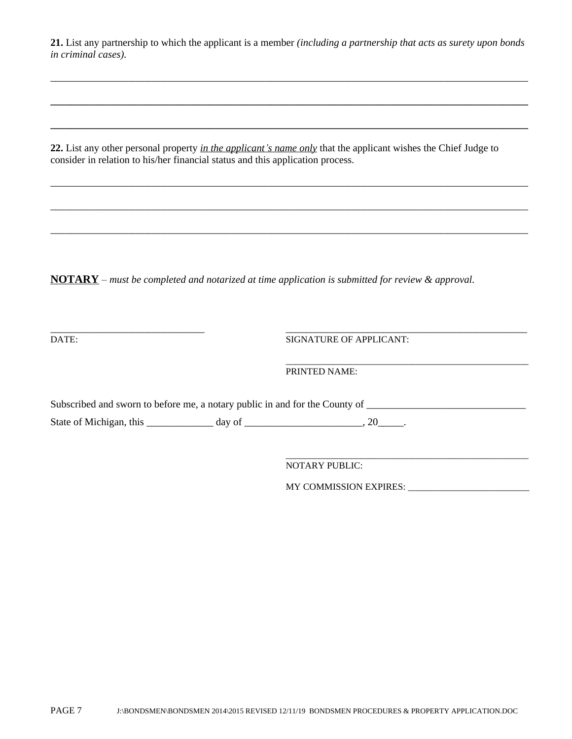**21.** List any partnership to which the applicant is a member *(including a partnership that acts as surety upon bonds in criminal cases).*

\_\_\_\_\_\_\_\_\_\_\_\_\_\_\_\_\_\_\_\_\_\_\_\_\_\_\_\_\_\_\_\_\_\_\_\_\_\_\_\_\_\_\_\_\_\_\_\_\_\_\_\_\_\_\_\_\_\_\_\_\_\_\_\_\_\_\_\_\_\_\_\_\_\_\_\_\_\_\_\_\_\_\_\_\_\_\_\_\_\_\_\_\_

**\_\_\_\_\_\_\_\_\_\_\_\_\_\_\_\_\_\_\_\_\_\_\_\_\_\_\_\_\_\_\_\_\_\_\_\_\_\_\_\_\_\_\_\_\_\_\_\_\_\_\_\_\_\_\_\_\_\_\_\_\_\_\_\_\_\_\_\_\_\_\_\_\_\_\_\_\_\_\_\_\_\_\_\_\_\_\_\_\_\_\_\_\_**

**\_\_\_\_\_\_\_\_\_\_\_\_\_\_\_\_\_\_\_\_\_\_\_\_\_\_\_\_\_\_\_\_\_\_\_\_\_\_\_\_\_\_\_\_\_\_\_\_\_\_\_\_\_\_\_\_\_\_\_\_\_\_\_\_\_\_\_\_\_\_\_\_\_\_\_\_\_\_\_\_\_\_\_\_\_\_\_\_\_\_\_\_\_**

\_\_\_\_\_\_\_\_\_\_\_\_\_\_\_\_\_\_\_\_\_\_\_\_\_\_\_\_\_\_\_\_\_\_\_\_\_\_\_\_\_\_\_\_\_\_\_\_\_\_\_\_\_\_\_\_\_\_\_\_\_\_\_\_\_\_\_\_\_\_\_\_\_\_\_\_\_\_\_\_\_\_\_\_\_\_\_\_\_\_\_\_\_

\_\_\_\_\_\_\_\_\_\_\_\_\_\_\_\_\_\_\_\_\_\_\_\_\_\_\_\_\_\_\_\_\_\_\_\_\_\_\_\_\_\_\_\_\_\_\_\_\_\_\_\_\_\_\_\_\_\_\_\_\_\_\_\_\_\_\_\_\_\_\_\_\_\_\_\_\_\_\_\_\_\_\_\_\_\_\_\_\_\_\_\_\_

\_\_\_\_\_\_\_\_\_\_\_\_\_\_\_\_\_\_\_\_\_\_\_\_\_\_\_\_\_\_\_\_\_\_\_\_\_\_\_\_\_\_\_\_\_\_\_\_\_\_\_\_\_\_\_\_\_\_\_\_\_\_\_\_\_\_\_\_\_\_\_\_\_\_\_\_\_\_\_\_\_\_\_\_\_\_\_\_\_\_\_\_\_

**22.** List any other personal property *in the applicant's name only* that the applicant wishes the Chief Judge to consider in relation to his/her financial status and this application process.

**NOTARY** – *must be completed and notarized at time application is submitted for review & approval.*

\_\_\_\_\_\_\_\_\_\_\_\_\_\_\_\_\_\_\_\_\_\_\_\_\_\_\_\_\_\_ \_\_\_\_\_\_\_\_\_\_\_\_\_\_\_\_\_\_\_\_\_\_\_\_\_\_\_\_\_\_\_\_\_\_\_\_\_\_\_\_\_\_\_\_\_\_\_

DATE: SIGNATURE OF APPLICANT:

\_\_\_\_\_\_\_\_\_\_\_\_\_\_\_\_\_\_\_\_\_\_\_\_\_\_\_\_\_\_\_\_\_\_\_\_\_\_\_\_\_\_\_\_\_\_\_\_\_\_\_\_ PRINTED NAME:

Subscribed and sworn to before me, a notary public in and for the County of \_\_\_\_\_\_\_\_\_\_\_\_\_\_\_\_\_\_\_\_\_\_\_\_\_\_\_\_\_\_\_\_\_\_ State of Michigan, this  $\frac{1}{\text{day of}}$  day of  $\frac{1}{\text{day of}}$ , 20

NOTARY PUBLIC:

MY COMMISSION EXPIRES: \_\_\_\_\_\_\_\_\_\_\_\_\_\_\_\_\_\_\_\_\_\_\_\_\_\_

\_\_\_\_\_\_\_\_\_\_\_\_\_\_\_\_\_\_\_\_\_\_\_\_\_\_\_\_\_\_\_\_\_\_\_\_\_\_\_\_\_\_\_\_\_\_\_\_\_\_\_\_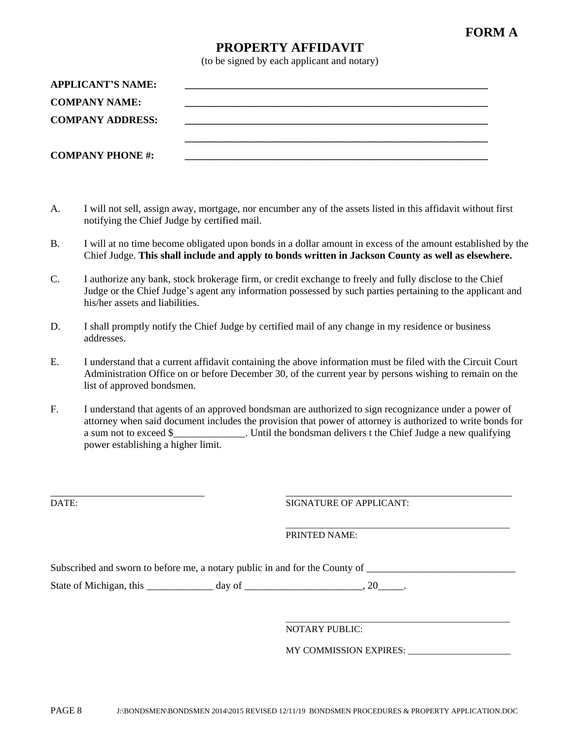## **FORM A**

### **PROPERTY AFFIDAVIT**

(to be signed by each applicant and notary)

| <b>APPLICANT'S NAME:</b> |  |
|--------------------------|--|
| <b>COMPANY NAME:</b>     |  |
| <b>COMPANY ADDRESS:</b>  |  |
|                          |  |
| <b>COMPANY PHONE #:</b>  |  |

- A. I will not sell, assign away, mortgage, nor encumber any of the assets listed in this affidavit without first notifying the Chief Judge by certified mail.
- B. I will at no time become obligated upon bonds in a dollar amount in excess of the amount established by the Chief Judge. **This shall include and apply to bonds written in Jackson County as well as elsewhere.**
- C. I authorize any bank, stock brokerage firm, or credit exchange to freely and fully disclose to the Chief Judge or the Chief Judge's agent any information possessed by such parties pertaining to the applicant and his/her assets and liabilities.
- D. I shall promptly notify the Chief Judge by certified mail of any change in my residence or business addresses.
- E. I understand that a current affidavit containing the above information must be filed with the Circuit Court Administration Office on or before December 30, of the current year by persons wishing to remain on the list of approved bondsmen.
- F. I understand that agents of an approved bondsman are authorized to sign recognizance under a power of attorney when said document includes the provision that power of attorney is authorized to write bonds for a sum not to exceed \$ The Until the bondsman delivers t the Chief Judge a new qualifying power establishing a higher limit.

\_\_\_\_\_\_\_\_\_\_\_\_\_\_\_\_\_\_\_\_\_\_\_\_\_\_\_\_\_\_ \_\_\_\_\_\_\_\_\_\_\_\_\_\_\_\_\_\_\_\_\_\_\_\_\_\_\_\_\_\_\_\_\_\_\_\_\_\_\_\_\_\_\_\_ DATE: SIGNATURE OF APPLICANT:

> \_\_\_\_\_\_\_\_\_\_\_\_\_\_\_\_\_\_\_\_\_\_\_\_\_\_\_\_\_\_\_\_\_\_\_\_\_\_\_\_\_\_\_\_\_\_\_\_ PRINTED NAME:

Subscribed and sworn to before me, a notary public in and for the County of \_\_\_\_\_\_\_\_\_\_\_\_\_\_\_\_\_\_\_\_\_\_\_\_

State of Michigan, this \_\_\_\_\_\_\_\_\_\_\_\_\_ day of \_\_\_\_\_\_\_\_\_\_\_\_\_\_\_\_\_\_\_\_, 20\_\_\_\_\_.

\_\_\_\_\_\_\_\_\_\_\_\_\_\_\_\_\_\_\_\_\_\_\_\_\_\_\_\_\_\_\_\_\_\_\_\_\_\_\_\_\_\_\_\_\_\_\_\_ NOTARY PUBLIC:

MY COMMISSION EXPIRES: \_\_\_\_\_\_\_\_\_\_\_\_\_\_\_\_\_\_\_\_\_\_